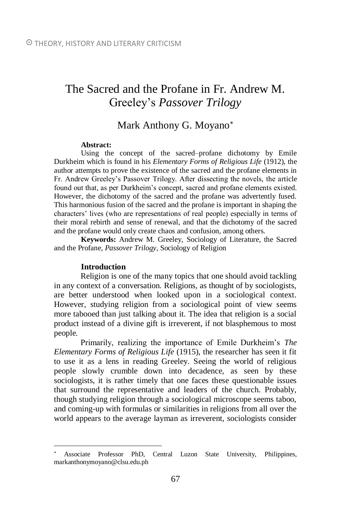# The Sacred and the Profane in Fr. Andrew M. Greeley's *Passover Trilogy*

# Mark Anthony G. Moyano

#### **Abstract:**

Using the concept of the sacred–profane dichotomy by Emile Durkheim which is found in his *Elementary Forms of Religious Life* (1912), the author attempts to prove the existence of the sacred and the profane elements in Fr. Andrew Greeley's Passover Trilogy. After dissecting the novels, the article found out that, as per Durkheim's concept, sacred and profane elements existed. However, the dichotomy of the sacred and the profane was advertently fused. This harmonious fusion of the sacred and the profane is important in shaping the characters' lives (who are representations of real people) especially in terms of their moral rebirth and sense of renewal, and that the dichotomy of the sacred and the profane would only create chaos and confusion, among others.

**Keywords:** Andrew M. Greeley, Sociology of Literature, the Sacred and the Profane, *Passover Trilogy*, Sociology of Religion

#### **Introduction**

 $\overline{a}$ 

Religion is one of the many topics that one should avoid tackling in any context of a conversation. Religions, as thought of by sociologists, are better understood when looked upon in a sociological context. However, studying religion from a sociological point of view seems more tabooed than just talking about it. The idea that religion is a social product instead of a divine gift is irreverent, if not blasphemous to most people.

Primarily, realizing the importance of Emile Durkheim's *The Elementary Forms of Religious Life* (1915), the researcher has seen it fit to use it as a lens in reading Greeley. Seeing the world of religious people slowly crumble down into decadence, as seen by these sociologists, it is rather timely that one faces these questionable issues that surround the representative and leaders of the church. Probably, though studying religion through a sociological microscope seems taboo, and coming-up with formulas or similarities in religions from all over the world appears to the average layman as irreverent, sociologists consider

Associate Professor PhD, Central Luzon State University, Philippines, markanthonymoyano@clsu.edu.ph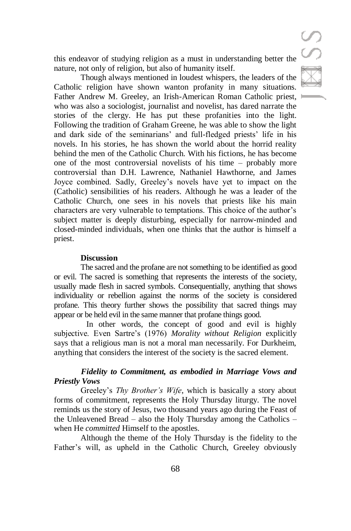this endeavor of studying religion as a must in understanding better the nature, not only of religion, but also of humanity itself.

Though always mentioned in loudest whispers, the leaders of the Catholic religion have shown wanton profanity in many situations. Father Andrew M. Greeley, an Irish-American Roman Catholic priest, who was also a sociologist, journalist and novelist, has dared narrate the stories of the clergy. He has put these profanities into the light. Following the tradition of Graham Greene, he was able to show the light and dark side of the seminarians' and full-fledged priests' life in his novels. In his stories, he has shown the world about the horrid reality behind the men of the Catholic Church. With his fictions, he has become one of the most controversial novelists of his time – probably more controversial than D.H. Lawrence, Nathaniel Hawthorne, and James Joyce combined. Sadly, Greeley's novels have yet to impact on the (Catholic) sensibilities of his readers. Although he was a leader of the Catholic Church, one sees in his novels that priests like his main characters are very vulnerable to temptations. This choice of the author's subject matter is deeply disturbing, especially for narrow-minded and closed-minded individuals, when one thinks that the author is himself a priest.

#### **Discussion**

The sacred and the profane are not something to be identified as good or evil. The sacred is something that represents the interests of the society, usually made flesh in sacred symbols. Consequentially, anything that shows individuality or rebellion against the norms of the society is considered profane. This theory further shows the possibility that sacred things may appear or be held evil in the same manner that profane things good.

In other words, the concept of good and evil is highly subjective. Even Sartre's (1976) *Morality without Religion* explicitly says that a religious man is not a moral man necessarily. For Durkheim, anything that considers the interest of the society is the sacred element.

## *Fidelity to Commitment, as embodied in Marriage Vows and Priestly Vows*

Greeley's *Thy Brother's Wife*, which is basically a story about forms of commitment, represents the Holy Thursday liturgy. The novel reminds us the story of Jesus, two thousand years ago during the Feast of the Unleavened Bread – also the Holy Thursday among the Catholics – when He *committed* Himself to the apostles.

Although the theme of the Holy Thursday is the fidelity to the Father's will, as upheld in the Catholic Church, Greeley obviously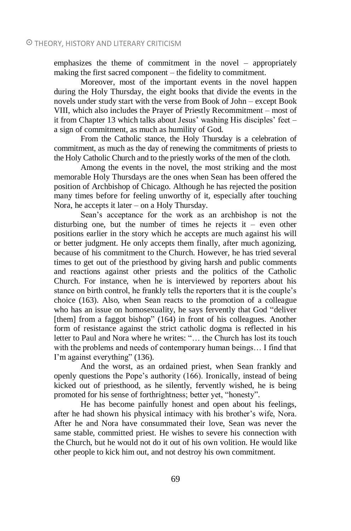emphasizes the theme of commitment in the novel – appropriately making the first sacred component – the fidelity to commitment.

Moreover, most of the important events in the novel happen during the Holy Thursday, the eight books that divide the events in the novels under study start with the verse from Book of John – except Book VIII, which also includes the Prayer of Priestly Recommitment – most of it from Chapter 13 which talks about Jesus' washing His disciples' feet – a sign of commitment, as much as humility of God.

From the Catholic stance, the Holy Thursday is a celebration of commitment, as much as the day of renewing the commitments of priests to the Holy Catholic Church and to the priestly works of the men of the cloth.

Among the events in the novel, the most striking and the most memorable Holy Thursdays are the ones when Sean has been offered the position of Archbishop of Chicago. Although he has rejected the position many times before for feeling unworthy of it, especially after touching Nora, he accepts it later – on a Holy Thursday.

Sean's acceptance for the work as an archbishop is not the disturbing one, but the number of times he rejects it – even other positions earlier in the story which he accepts are much against his will or better judgment. He only accepts them finally, after much agonizing, because of his commitment to the Church. However, he has tried several times to get out of the priesthood by giving harsh and public comments and reactions against other priests and the politics of the Catholic Church. For instance, when he is interviewed by reporters about his stance on birth control, he frankly tells the reporters that it is the couple's choice (163). Also, when Sean reacts to the promotion of a colleague who has an issue on homosexuality, he says fervently that God "deliver [them] from a faggot bishop" (164) in front of his colleagues. Another form of resistance against the strict catholic dogma is reflected in his letter to Paul and Nora where he writes: "… the Church has lost its touch with the problems and needs of contemporary human beings… I find that I'm against everything" (136).

And the worst, as an ordained priest, when Sean frankly and openly questions the Pope's authority (166). Ironically, instead of being kicked out of priesthood, as he silently, fervently wished, he is being promoted for his sense of forthrightness; better yet, "honesty".

He has become painfully honest and open about his feelings, after he had shown his physical intimacy with his brother's wife, Nora. After he and Nora have consummated their love, Sean was never the same stable, committed priest. He wishes to severe his connection with the Church, but he would not do it out of his own volition. He would like other people to kick him out, and not destroy his own commitment.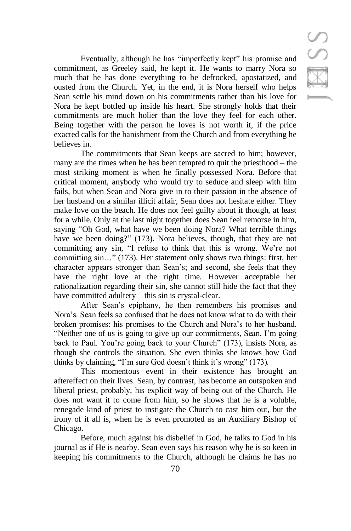Eventually, although he has "imperfectly kept" his promise and commitment, as Greeley said, he kept it. He wants to marry Nora so much that he has done everything to be defrocked, apostatized, and ousted from the Church. Yet, in the end, it is Nora herself who helps Sean settle his mind down on his commitments rather than his love for Nora he kept bottled up inside his heart. She strongly holds that their commitments are much holier than the love they feel for each other. Being together with the person he loves is not worth it, if the price exacted calls for the banishment from the Church and from everything he believes in.

The commitments that Sean keeps are sacred to him; however, many are the times when he has been tempted to quit the priesthood – the most striking moment is when he finally possessed Nora. Before that critical moment, anybody who would try to seduce and sleep with him fails, but when Sean and Nora give in to their passion in the absence of her husband on a similar illicit affair, Sean does not hesitate either. They make love on the beach. He does not feel guilty about it though, at least for a while. Only at the last night together does Sean feel remorse in him, saying "Oh God, what have we been doing Nora? What terrible things have we been doing?" (173). Nora believes, though, that they are not committing any sin, "I refuse to think that this is wrong. We're not committing sin…" (173). Her statement only shows two things: first, her character appears stronger than Sean's; and second, she feels that they have the right love at the right time. However acceptable her rationalization regarding their sin, she cannot still hide the fact that they have committed adultery – this sin is crystal-clear.

After Sean's epiphany, he then remembers his promises and Nora's. Sean feels so confused that he does not know what to do with their broken promises: his promises to the Church and Nora's to her husband. "Neither one of us is going to give up our commitments, Sean. I'm going back to Paul. You're going back to your Church" (173), insists Nora, as though she controls the situation. She even thinks she knows how God thinks by claiming, "I'm sure God doesn't think it's wrong" (173)*.*

This momentous event in their existence has brought an aftereffect on their lives. Sean, by contrast, has become an outspoken and liberal priest, probably, his explicit way of being out of the Church. He does not want it to come from him, so he shows that he is a voluble, renegade kind of priest to instigate the Church to cast him out, but the irony of it all is, when he is even promoted as an Auxiliary Bishop of Chicago.

Before, much against his disbelief in God, he talks to God in his journal as if He is nearby. Sean even says his reason why he is so keen in keeping his commitments to the Church, although he claims he has no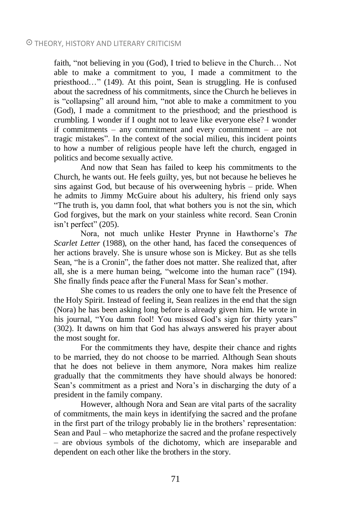#### THEORY, HISTORY AND LITERARY CRITICISM

faith, "not believing in you (God), I tried to believe in the Church… Not able to make a commitment to you, I made a commitment to the priesthood…" (149). At this point, Sean is struggling. He is confused about the sacredness of his commitments, since the Church he believes in is "collapsing" all around him, "not able to make a commitment to you (God), I made a commitment to the priesthood; and the priesthood is crumbling. I wonder if I ought not to leave like everyone else? I wonder if commitments – any commitment and every commitment – are not tragic mistakes". In the context of the social milieu, this incident points to how a number of religious people have left the church, engaged in politics and become sexually active.

And now that Sean has failed to keep his commitments to the Church, he wants out. He feels guilty, yes, but not because he believes he sins against God, but because of his overweening hybris – pride. When he admits to Jimmy McGuire about his adultery, his friend only says "The truth is, you damn fool, that what bothers you is not the sin, which God forgives, but the mark on your stainless white record. Sean Cronin isn't perfect" (205).

Nora, not much unlike Hester Prynne in Hawthorne's *The Scarlet Letter* (1988), on the other hand, has faced the consequences of her actions bravely. She is unsure whose son is Mickey. But as she tells Sean, "he is a Cronin", the father does not matter. She realized that, after all, she is a mere human being, "welcome into the human race" (194). She finally finds peace after the Funeral Mass for Sean's mother.

She comes to us readers the only one to have felt the Presence of the Holy Spirit. Instead of feeling it, Sean realizes in the end that the sign (Nora) he has been asking long before is already given him. He wrote in his journal, "You damn fool! You missed God's sign for thirty years" (302). It dawns on him that God has always answered his prayer about the most sought for.

For the commitments they have, despite their chance and rights to be married, they do not choose to be married. Although Sean shouts that he does not believe in them anymore, Nora makes him realize gradually that the commitments they have should always be honored: Sean's commitment as a priest and Nora's in discharging the duty of a president in the family company.

However, although Nora and Sean are vital parts of the sacrality of commitments, the main keys in identifying the sacred and the profane in the first part of the trilogy probably lie in the brothers' representation: Sean and Paul – who metaphorize the sacred and the profane respectively – are obvious symbols of the dichotomy, which are inseparable and dependent on each other like the brothers in the story.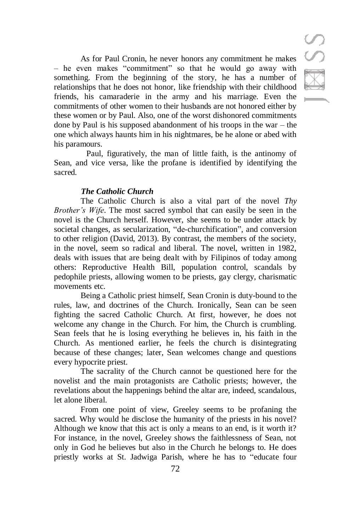As for Paul Cronin, he never honors any commitment he makes – he even makes "commitment" so that he would go away with something. From the beginning of the story, he has a number of relationships that he does not honor, like friendship with their childhood friends, his camaraderie in the army and his marriage. Even the commitments of other women to their husbands are not honored either by these women or by Paul. Also, one of the worst dishonored commitments done by Paul is his supposed abandonment of his troops in the war – the one which always haunts him in his nightmares, be he alone or abed with his paramours.

Paul, figuratively, the man of little faith, is the antinomy of Sean, and vice versa, like the profane is identified by identifying the sacred.

#### *The Catholic Church*

The Catholic Church is also a vital part of the novel *Thy Brother's Wife*. The most sacred symbol that can easily be seen in the novel is the Church herself. However, she seems to be under attack by societal changes, as secularization, "de-churchification", and conversion to other religion (David, 2013). By contrast, the members of the society, in the novel, seem so radical and liberal. The novel, written in 1982, deals with issues that are being dealt with by Filipinos of today among others: Reproductive Health Bill, population control, scandals by pedophile priests, allowing women to be priests, gay clergy, charismatic movements etc.

Being a Catholic priest himself, Sean Cronin is duty-bound to the rules, law, and doctrines of the Church. Ironically, Sean can be seen fighting the sacred Catholic Church. At first, however, he does not welcome any change in the Church. For him, the Church is crumbling. Sean feels that he is losing everything he believes in, his faith in the Church. As mentioned earlier, he feels the church is disintegrating because of these changes; later, Sean welcomes change and questions every hypocrite priest.

The sacrality of the Church cannot be questioned here for the novelist and the main protagonists are Catholic priests; however, the revelations about the happenings behind the altar are, indeed, scandalous, let alone liberal.

From one point of view, Greeley seems to be profaning the sacred. Why would he disclose the humanity of the priests in his novel? Although we know that this act is only a means to an end, is it worth it? For instance, in the novel, Greeley shows the faithlessness of Sean, not only in God he believes but also in the Church he belongs to. He does priestly works at St. Jadwiga Parish, where he has to "educate four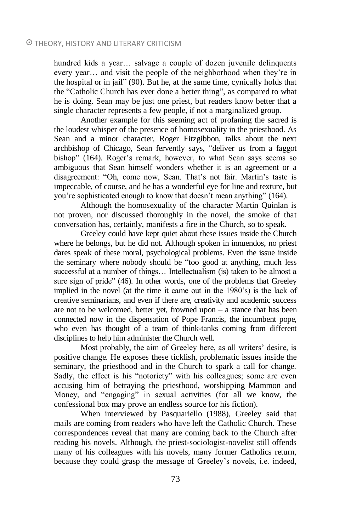#### THEORY, HISTORY AND LITERARY CRITICISM

hundred kids a year... salvage a couple of dozen juvenile delinquents every year… and visit the people of the neighborhood when they're in the hospital or in jail" (90). But he, at the same time, cynically holds that the "Catholic Church has ever done a better thing", as compared to what he is doing. Sean may be just one priest, but readers know better that a single character represents a few people, if not a marginalized group.

Another example for this seeming act of profaning the sacred is the loudest whisper of the presence of homosexuality in the priesthood. As Sean and a minor character, Roger Fitzgibbon, talks about the next archbishop of Chicago, Sean fervently says, "deliver us from a faggot bishop" (164). Roger's remark, however, to what Sean says seems so ambiguous that Sean himself wonders whether it is an agreement or a disagreement: "Oh, come now, Sean. That's not fair. Martin's taste is impeccable, of course, and he has a wonderful eye for line and texture, but you're sophisticated enough to know that doesn't mean anything" (164).

Although the homosexuality of the character Martin Quinlan is not proven, nor discussed thoroughly in the novel, the smoke of that conversation has, certainly, manifests a fire in the Church, so to speak.

Greeley could have kept quiet about these issues inside the Church where he belongs, but he did not. Although spoken in innuendos, no priest dares speak of these moral, psychological problems. Even the issue inside the seminary where nobody should be "too good at anything, much less successful at a number of things… Intellectualism (is) taken to be almost a sure sign of pride" (46). In other words, one of the problems that Greeley implied in the novel (at the time it came out in the 1980's) is the lack of creative seminarians, and even if there are, creativity and academic success are not to be welcomed, better yet, frowned upon – a stance that has been connected now in the dispensation of Pope Francis, the incumbent pope, who even has thought of a team of think-tanks coming from different disciplines to help him administer the Church well.

Most probably, the aim of Greeley here, as all writers' desire, is positive change. He exposes these ticklish, problematic issues inside the seminary, the priesthood and in the Church to spark a call for change. Sadly, the effect is his "notoriety" with his colleagues; some are even accusing him of betraying the priesthood, worshipping Mammon and Money, and "engaging" in sexual activities (for all we know, the confessional box may prove an endless source for his fiction).

When interviewed by Pasquariello (1988), Greeley said that mails are coming from readers who have left the Catholic Church. These correspondences reveal that many are coming back to the Church after reading his novels. Although, the priest-sociologist-novelist still offends many of his colleagues with his novels, many former Catholics return, because they could grasp the message of Greeley's novels, i.e. indeed,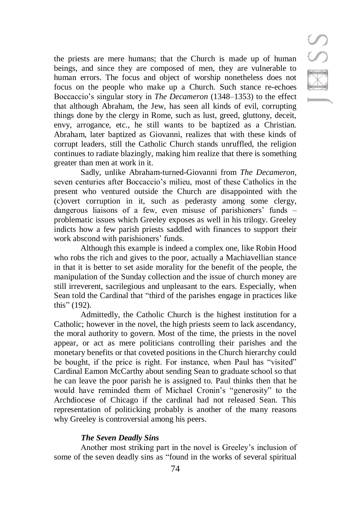IMSS

the priests are mere humans; that the Church is made up of human beings, and since they are composed of men, they are vulnerable to human errors. The focus and object of worship nonetheless does not focus on the people who make up a Church. Such stance re-echoes Boccaccio's singular story in *The Decameron* (1348–1353) to the effect that although Abraham, the Jew, has seen all kinds of evil, corrupting things done by the clergy in Rome, such as lust, greed, gluttony, deceit, envy, arrogance, etc., he still wants to be baptized as a Christian. Abraham, later baptized as Giovanni, realizes that with these kinds of corrupt leaders, still the Catholic Church stands unruffled, the religion continues to radiate blazingly, making him realize that there is something greater than men at work in it.

Sadly, unlike Abraham-turned-Giovanni from *The Decameron,*  seven centuries after Boccaccio's milieu, most of these Catholics in the present who ventured outside the Church are disappointed with the (c)overt corruption in it, such as pederasty among some clergy, dangerous liaisons of a few, even misuse of parishioners' funds – problematic issues which Greeley exposes as well in his trilogy. Greeley indicts how a few parish priests saddled with finances to support their work abscond with parishioners' funds.

Although this example is indeed a complex one, like Robin Hood who robs the rich and gives to the poor, actually a Machiavellian stance in that it is better to set aside morality for the benefit of the people, the manipulation of the Sunday collection and the issue of church money are still irreverent, sacrilegious and unpleasant to the ears. Especially, when Sean told the Cardinal that "third of the parishes engage in practices like this" (192).

Admittedly, the Catholic Church is the highest institution for a Catholic; however in the novel, the high priests seem to lack ascendancy, the moral authority to govern. Most of the time, the priests in the novel appear, or act as mere politicians controlling their parishes and the monetary benefits or that coveted positions in the Church hierarchy could be bought, if the price is right. For instance, when Paul has "visited" Cardinal Eamon McCarthy about sending Sean to graduate school so that he can leave the poor parish he is assigned to. Paul thinks then that he would have reminded them of Michael Cronin's "generosity" to the Archdiocese of Chicago if the cardinal had not released Sean. This representation of politicking probably is another of the many reasons why Greeley is controversial among his peers.

#### *The Seven Deadly Sins*

Another most striking part in the novel is Greeley's inclusion of some of the seven deadly sins as "found in the works of several spiritual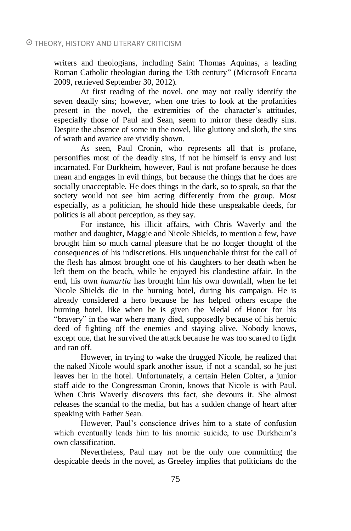writers and theologians, including Saint Thomas Aquinas, a leading Roman Catholic theologian during the 13th century" (Microsoft Encarta 2009, retrieved September 30, 2012).

At first reading of the novel, one may not really identify the seven deadly sins; however, when one tries to look at the profanities present in the novel, the extremities of the character's attitudes, especially those of Paul and Sean, seem to mirror these deadly sins. Despite the absence of some in the novel, like gluttony and sloth, the sins of wrath and avarice are vividly shown.

As seen, Paul Cronin, who represents all that is profane, personifies most of the deadly sins, if not he himself is envy and lust incarnated. For Durkheim, however, Paul is not profane because he does mean and engages in evil things, but because the things that he does are socially unacceptable. He does things in the dark, so to speak, so that the society would not see him acting differently from the group. Most especially, as a politician, he should hide these unspeakable deeds, for politics is all about perception, as they say.

For instance, his illicit affairs, with Chris Waverly and the mother and daughter, Maggie and Nicole Shields, to mention a few, have brought him so much carnal pleasure that he no longer thought of the consequences of his indiscretions. His unquenchable thirst for the call of the flesh has almost brought one of his daughters to her death when he left them on the beach, while he enjoyed his clandestine affair. In the end, his own *hamartia* has brought him his own downfall, when he let Nicole Shields die in the burning hotel, during his campaign. He is already considered a hero because he has helped others escape the burning hotel, like when he is given the Medal of Honor for his "bravery" in the war where many died, supposedly because of his heroic deed of fighting off the enemies and staying alive. Nobody knows, except one, that he survived the attack because he was too scared to fight and ran off.

However, in trying to wake the drugged Nicole, he realized that the naked Nicole would spark another issue, if not a scandal, so he just leaves her in the hotel. Unfortunately, a certain Helen Colter, a junior staff aide to the Congressman Cronin, knows that Nicole is with Paul. When Chris Waverly discovers this fact, she devours it. She almost releases the scandal to the media, but has a sudden change of heart after speaking with Father Sean.

However, Paul's conscience drives him to a state of confusion which eventually leads him to his anomic suicide, to use Durkheim's own classification.

Nevertheless, Paul may not be the only one committing the despicable deeds in the novel, as Greeley implies that politicians do the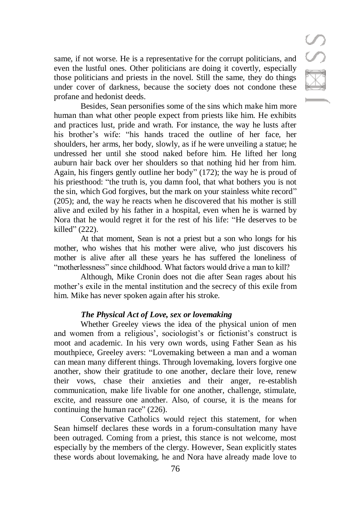same, if not worse. He is a representative for the corrupt politicians, and even the lustful ones. Other politicians are doing it covertly, especially those politicians and priests in the novel. Still the same, they do things under cover of darkness, because the society does not condone these profane and hedonist deeds.

Besides, Sean personifies some of the sins which make him more human than what other people expect from priests like him. He exhibits and practices lust, pride and wrath. For instance, the way he lusts after his brother's wife: "his hands traced the outline of her face, her shoulders, her arms, her body, slowly, as if he were unveiling a statue; he undressed her until she stood naked before him. He lifted her long auburn hair back over her shoulders so that nothing hid her from him. Again, his fingers gently outline her body" (172); the way he is proud of his priesthood: "the truth is, you damn fool, that what bothers you is not the sin, which God forgives, but the mark on your stainless white record" (205); and, the way he reacts when he discovered that his mother is still alive and exiled by his father in a hospital, even when he is warned by Nora that he would regret it for the rest of his life: "He deserves to be killed" (222).

At that moment, Sean is not a priest but a son who longs for his mother, who wishes that his mother were alive, who just discovers his mother is alive after all these years he has suffered the loneliness of "motherlessness" since childhood. What factors would drive a man to kill?

Although, Mike Cronin does not die after Sean rages about his mother's exile in the mental institution and the secrecy of this exile from him. Mike has never spoken again after his stroke.

#### *The Physical Act of Love, sex or lovemaking*

Whether Greeley views the idea of the physical union of men and women from a religious', sociologist's or fictionist's construct is moot and academic. In his very own words, using Father Sean as his mouthpiece, Greeley avers: "Lovemaking between a man and a woman can mean many different things. Through lovemaking, lovers forgive one another, show their gratitude to one another, declare their love, renew their vows, chase their anxieties and their anger, re-establish communication, make life livable for one another, challenge, stimulate, excite, and reassure one another. Also, of course, it is the means for continuing the human race" (226).

Conservative Catholics would reject this statement, for when Sean himself declares these words in a forum-consultation many have been outraged. Coming from a priest, this stance is not welcome, most especially by the members of the clergy. However, Sean explicitly states these words about lovemaking, he and Nora have already made love to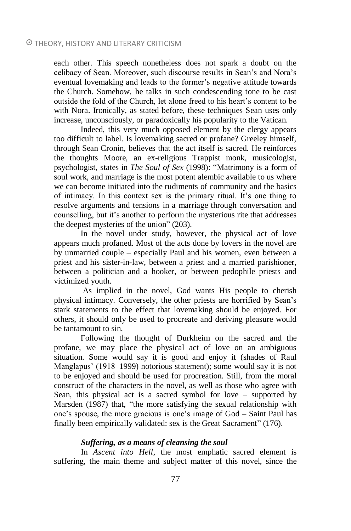each other. This speech nonetheless does not spark a doubt on the celibacy of Sean. Moreover, such discourse results in Sean's and Nora's eventual lovemaking and leads to the former's negative attitude towards the Church. Somehow, he talks in such condescending tone to be cast outside the fold of the Church, let alone freed to his heart's content to be with Nora. Ironically, as stated before, these techniques Sean uses only increase, unconsciously, or paradoxically his popularity to the Vatican.

Indeed, this very much opposed element by the clergy appears too difficult to label. Is lovemaking sacred or profane? Greeley himself, through Sean Cronin, believes that the act itself is sacred. He reinforces the thoughts Moore, an ex-religious Trappist monk, musicologist, psychologist, states in *The Soul of Sex* (1998): "Matrimony is a form of soul work, and marriage is the most potent alembic available to us where we can become initiated into the rudiments of community and the basics of intimacy. In this context sex is the primary ritual. It's one thing to resolve arguments and tensions in a marriage through conversation and counselling, but it's another to perform the mysterious rite that addresses the deepest mysteries of the union" (203).

In the novel under study, however, the physical act of love appears much profaned. Most of the acts done by lovers in the novel are by unmarried couple – especially Paul and his women, even between a priest and his sister-in-law, between a priest and a married parishioner, between a politician and a hooker, or between pedophile priests and victimized youth.

As implied in the novel, God wants His people to cherish physical intimacy. Conversely, the other priests are horrified by Sean's stark statements to the effect that lovemaking should be enjoyed. For others, it should only be used to procreate and deriving pleasure would be tantamount to sin.

Following the thought of Durkheim on the sacred and the profane, we may place the physical act of love on an ambiguous situation. Some would say it is good and enjoy it (shades of Raul Manglapus' (1918–1999) notorious statement); some would say it is not to be enjoyed and should be used for procreation. Still, from the moral construct of the characters in the novel, as well as those who agree with Sean, this physical act is a sacred symbol for love – supported by Marsden (1987) that, "the more satisfying the sexual relationship with one's spouse, the more gracious is one's image of God – Saint Paul has finally been empirically validated: sex is the Great Sacrament" (176).

#### *Suffering, as a means of cleansing the soul*

In *Ascent into Hell*, the most emphatic sacred element is suffering, the main theme and subject matter of this novel, since the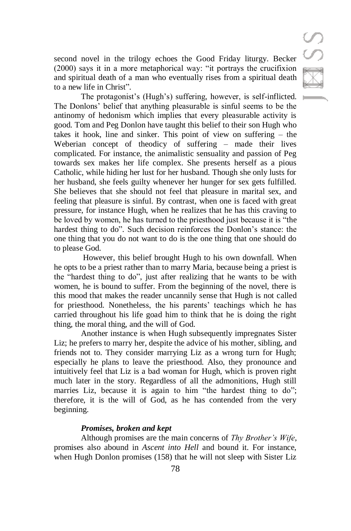second novel in the trilogy echoes the Good Friday liturgy. Becker (2000) says it in a more metaphorical way: "it portrays the crucifixion and spiritual death of a man who eventually rises from a spiritual death to a new life in Christ".

The protagonist's (Hugh's) suffering, however, is self-inflicted. The Donlons' belief that anything pleasurable is sinful seems to be the antinomy of hedonism which implies that every pleasurable activity is good. Tom and Peg Donlon have taught this belief to their son Hugh who takes it hook, line and sinker. This point of view on suffering – the Weberian concept of theodicy of suffering – made their lives complicated. For instance, the animalistic sensuality and passion of Peg towards sex makes her life complex. She presents herself as a pious Catholic, while hiding her lust for her husband. Though she only lusts for her husband, she feels guilty whenever her hunger for sex gets fulfilled. She believes that she should not feel that pleasure in marital sex, and feeling that pleasure is sinful. By contrast, when one is faced with great pressure, for instance Hugh, when he realizes that he has this craving to be loved by women, he has turned to the priesthood just because it is "the hardest thing to do". Such decision reinforces the Donlon's stance: the one thing that you do not want to do is the one thing that one should do to please God.

However, this belief brought Hugh to his own downfall. When he opts to be a priest rather than to marry Maria, because being a priest is the "hardest thing to do", just after realizing that he wants to be with women, he is bound to suffer. From the beginning of the novel, there is this mood that makes the reader uncannily sense that Hugh is not called for priesthood. Nonetheless, the his parents' teachings which he has carried throughout his life goad him to think that he is doing the right thing, the moral thing, and the will of God.

Another instance is when Hugh subsequently impregnates Sister Liz; he prefers to marry her, despite the advice of his mother, sibling, and friends not to. They consider marrying Liz as a wrong turn for Hugh; especially he plans to leave the priesthood. Also, they pronounce and intuitively feel that Liz is a bad woman for Hugh, which is proven right much later in the story. Regardless of all the admonitions, Hugh still marries Liz, because it is again to him "the hardest thing to do"; therefore, it is the will of God, as he has contended from the very beginning.

### *Promises, broken and kept*

Although promises are the main concerns of *Thy Brother's Wife*, promises also abound in *Ascent into Hell* and bound it. For instance, when Hugh Donlon promises (158) that he will not sleep with Sister Liz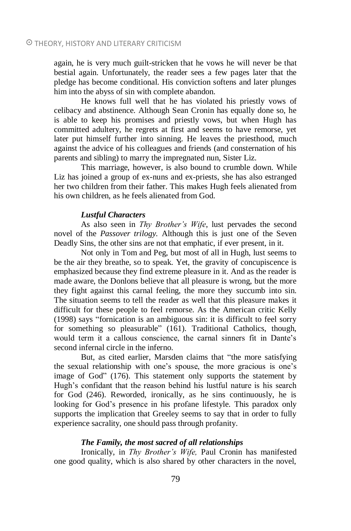again, he is very much guilt-stricken that he vows he will never be that bestial again. Unfortunately, the reader sees a few pages later that the pledge has become conditional. His conviction softens and later plunges him into the abyss of sin with complete abandon.

He knows full well that he has violated his priestly vows of celibacy and abstinence. Although Sean Cronin has equally done so, he is able to keep his promises and priestly vows, but when Hugh has committed adultery, he regrets at first and seems to have remorse, yet later put himself further into sinning. He leaves the priesthood, much against the advice of his colleagues and friends (and consternation of his parents and sibling) to marry the impregnated nun, Sister Liz.

This marriage, however, is also bound to crumble down. While Liz has joined a group of ex-nuns and ex-priests, she has also estranged her two children from their father. This makes Hugh feels alienated from his own children, as he feels alienated from God.

#### *Lustful Characters*

As also seen in *Thy Brother's Wife*, lust pervades the second novel of the *Passover trilogy.* Although this is just one of the Seven Deadly Sins, the other sins are not that emphatic, if ever present, in it.

Not only in Tom and Peg, but most of all in Hugh, lust seems to be the air they breathe, so to speak. Yet, the gravity of concupiscence is emphasized because they find extreme pleasure in it. And as the reader is made aware, the Donlons believe that all pleasure is wrong, but the more they fight against this carnal feeling, the more they succumb into sin. The situation seems to tell the reader as well that this pleasure makes it difficult for these people to feel remorse. As the American critic Kelly (1998) says "fornication is an ambiguous sin: it is difficult to feel sorry for something so pleasurable" (161). Traditional Catholics, though, would term it a callous conscience, the carnal sinners fit in Dante's second infernal circle in the inferno.

But, as cited earlier, Marsden claims that "the more satisfying the sexual relationship with one's spouse, the more gracious is one's image of God" (176). This statement only supports the statement by Hugh's confidant that the reason behind his lustful nature is his search for God (246). Reworded, ironically, as he sins continuously, he is looking for God's presence in his profane lifestyle. This paradox only supports the implication that Greeley seems to say that in order to fully experience sacrality, one should pass through profanity.

#### *The Family, the most sacred of all relationships*

Ironically, in *Thy Brother's Wife,* Paul Cronin has manifested one good quality, which is also shared by other characters in the novel,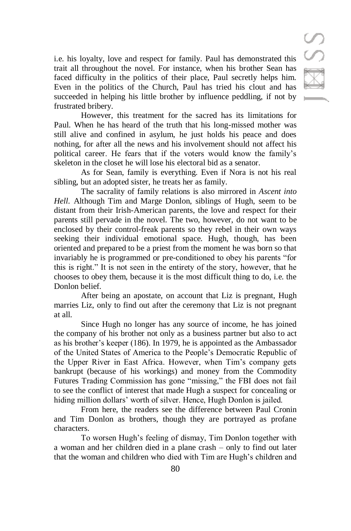i.e. his loyalty, love and respect for family. Paul has demonstrated this trait all throughout the novel. For instance, when his brother Sean has faced difficulty in the politics of their place, Paul secretly helps him. Even in the politics of the Church, Paul has tried his clout and has succeeded in helping his little brother by influence peddling, if not by frustrated bribery.

However, this treatment for the sacred has its limitations for Paul. When he has heard of the truth that his long-missed mother was still alive and confined in asylum, he just holds his peace and does nothing, for after all the news and his involvement should not affect his political career. He fears that if the voters would know the family's skeleton in the closet he will lose his electoral bid as a senator.

As for Sean, family is everything. Even if Nora is not his real sibling, but an adopted sister, he treats her as family.

The sacrality of family relations is also mirrored in *Ascent into Hell.* Although Tim and Marge Donlon, siblings of Hugh, seem to be distant from their Irish-American parents, the love and respect for their parents still pervade in the novel. The two, however, do not want to be enclosed by their control-freak parents so they rebel in their own ways seeking their individual emotional space. Hugh, though, has been oriented and prepared to be a priest from the moment he was born so that invariably he is programmed or pre-conditioned to obey his parents "for this is right." It is not seen in the entirety of the story, however, that he chooses to obey them, because it is the most difficult thing to do, i.e. the Donlon belief.

After being an apostate, on account that Liz is pregnant, Hugh marries Liz, only to find out after the ceremony that Liz is not pregnant at all.

Since Hugh no longer has any source of income, he has joined the company of his brother not only as a business partner but also to act as his brother's keeper (186). In 1979, he is appointed as the Ambassador of the United States of America to the People's Democratic Republic of the Upper River in East Africa. However, when Tim's company gets bankrupt (because of his workings) and money from the Commodity Futures Trading Commission has gone "missing," the FBI does not fail to see the conflict of interest that made Hugh a suspect for concealing or hiding million dollars' worth of silver. Hence, Hugh Donlon is jailed.

From here, the readers see the difference between Paul Cronin and Tim Donlon as brothers, though they are portrayed as profane characters.

To worsen Hugh's feeling of dismay, Tim Donlon together with a woman and her children died in a plane crash – only to find out later that the woman and children who died with Tim are Hugh's children and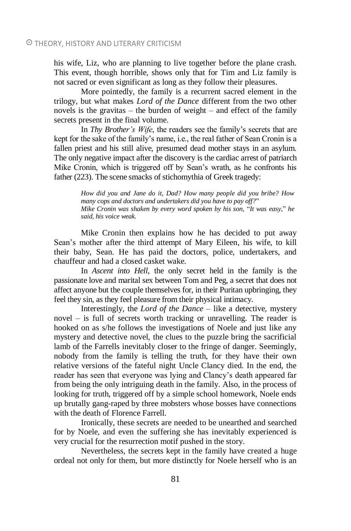his wife, Liz, who are planning to live together before the plane crash. This event, though horrible, shows only that for Tim and Liz family is not sacred or even significant as long as they follow their pleasures.

More pointedly, the family is a recurrent sacred element in the trilogy, but what makes *Lord of the Dance* different from the two other novels is the gravitas – the burden of weight – and effect of the family secrets present in the final volume.

In *Thy Brother's Wife*, the readers see the family's secrets that are kept for the sake of the family's name, i.e., the real father of Sean Cronin is a fallen priest and his still alive, presumed dead mother stays in an asylum. The only negative impact after the discovery is the cardiac arrest of patriarch Mike Cronin, which is triggered off by Sean's wrath, as he confronts his father (223). The scene smacks of stichomythia of Greek tragedy:

> *How did you and Jane do it, Dad? How many people did you bribe? How many cops and doctors and undertakers did you have to pay off?*" *Mike Cronin was shaken by every word spoken by his son,* "*It was easy*," *he said, his voice weak.*

Mike Cronin then explains how he has decided to put away Sean's mother after the third attempt of Mary Eileen, his wife, to kill their baby, Sean. He has paid the doctors, police, undertakers, and chauffeur and had a closed casket wake.

In *Ascent into Hell*, the only secret held in the family is the passionate love and marital sex between Tom and Peg, a secret that does not affect anyone but the couple themselves for, in their Puritan upbringing, they feel they sin, as they feel pleasure from their physical intimacy.

Interestingly, the *Lord of the Dance* – like a detective, mystery novel – is full of secrets worth tracking or unravelling. The reader is hooked on as s/he follows the investigations of Noele and just like any mystery and detective novel, the clues to the puzzle bring the sacrificial lamb of the Farrells inevitably closer to the fringe of danger. Seemingly, nobody from the family is telling the truth, for they have their own relative versions of the fateful night Uncle Clancy died. In the end, the reader has seen that everyone was lying and Clancy's death appeared far from being the only intriguing death in the family. Also, in the process of looking for truth, triggered off by a simple school homework, Noele ends up brutally gang-raped by three mobsters whose bosses have connections with the death of Florence Farrell.

Ironically, these secrets are needed to be unearthed and searched for by Noele, and even the suffering she has inevitably experienced is very crucial for the resurrection motif pushed in the story.

Nevertheless, the secrets kept in the family have created a huge ordeal not only for them, but more distinctly for Noele herself who is an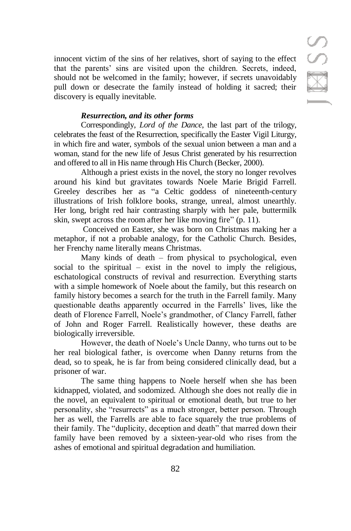innocent victim of the sins of her relatives, short of saying to the effect that the parents' sins are visited upon the children. Secrets, indeed, should not be welcomed in the family; however, if secrets unavoidably pull down or desecrate the family instead of holding it sacred; their discovery is equally inevitable.

# *Resurrection, and its other forms*

Correspondingly, *Lord of the Dance*, the last part of the trilogy, celebrates the feast of the Resurrection, specifically the Easter Vigil Liturgy, in which fire and water, symbols of the sexual union between a man and a woman, stand for the new life of Jesus Christ generated by his resurrection and offered to all in His name through His Church (Becker, 2000).

Although a priest exists in the novel, the story no longer revolves around his kind but gravitates towards Noele Marie Brigid Farrell. Greeley describes her as "a Celtic goddess of nineteenth-century illustrations of Irish folklore books, strange, unreal, almost unearthly. Her long, bright red hair contrasting sharply with her pale, buttermilk skin, swept across the room after her like moving fire" (p. 11).

Conceived on Easter, she was born on Christmas making her a metaphor, if not a probable analogy, for the Catholic Church. Besides, her Frenchy name literally means Christmas.

Many kinds of death – from physical to psychological, even social to the spiritual – exist in the novel to imply the religious, eschatological constructs of revival and resurrection. Everything starts with a simple homework of Noele about the family, but this research on family history becomes a search for the truth in the Farrell family. Many questionable deaths apparently occurred in the Farrells' lives, like the death of Florence Farrell, Noele's grandmother, of Clancy Farrell, father of John and Roger Farrell. Realistically however, these deaths are biologically irreversible.

However, the death of Noele's Uncle Danny, who turns out to be her real biological father, is overcome when Danny returns from the dead, so to speak, he is far from being considered clinically dead, but a prisoner of war.

The same thing happens to Noele herself when she has been kidnapped, violated, and sodomized. Although she does not really die in the novel, an equivalent to spiritual or emotional death, but true to her personality, she "resurrects" as a much stronger, better person. Through her as well, the Farrells are able to face squarely the true problems of their family. The "duplicity, deception and death" that marred down their family have been removed by a sixteen-year-old who rises from the ashes of emotional and spiritual degradation and humiliation.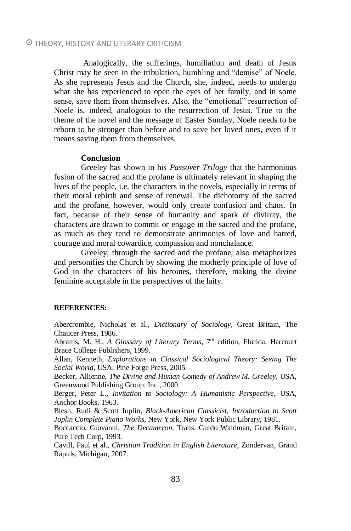#### THEORY, HISTORY AND LITERARY CRITICISM

Analogically, the sufferings, humiliation and death of Jesus Christ may be seen in the tribulation, humbling and "demise" of Noele. As she represents Jesus and the Church, she, indeed, needs to undergo what she has experienced to open the eyes of her family, and in some sense, save them from themselves. Also, the "emotional" resurrection of Noele is, indeed, analogous to the resurrection of Jesus. True to the theme of the novel and the message of Easter Sunday, Noele needs to be reborn to be stronger than before and to save her loved ones, even if it means saving them from themselves.

#### **Conclusion**

Greeley has shown in his *Passover Trilogy* that the harmonious fusion of the sacred and the profane is ultimately relevant in shaping the lives of the people, i.e. the characters in the novels, especially in terms of their moral rebirth and sense of renewal. The dichotomy of the sacred and the profane, however, would only create confusion and chaos. In fact, because of their sense of humanity and spark of divinity, the characters are drawn to commit or engage in the sacred and the profane, as much as they tend to demonstrate antimonies of love and hatred, courage and moral cowardice, compassion and nonchalance.

Greeley, through the sacred and the profane, also metaphorizes and personifies the Church by showing the motherly principle of love of God in the characters of his heroines, therefore, making the divine feminine acceptable in the perspectives of the laity.

#### **REFERENCES:**

Abercrombie, Nicholas et al., *Dictionary of Sociology*, Great Britain, The Chaucer Press, 1986.

Abrams, M. H., *A Glossary of Literary Terms*, 7<sup>th</sup> edition, Florida, Harcourt Brace College Publishers, 1999.

Allan, Kenneth, *Explorations in Classical Sociological Theory: Seeing The Social World*, USA, Pine Forge Press, 2005.

Becker, Allienne, *The Divine and Human Comedy of Andrew M. Greeley*, USA, Greenwood Publishing Group, Inc., 2000.

Berger, Peter L., *Invitation to Sociology: A Humanistic Perspective*, USA, Anchor Books, 1963.

Blesh, Rudi & Scott Joplin, *Black-American Classicist, Introduction to Scott Joplin Complete Piano Works*, New York, New York Public Library, 1981.

Boccaccio, Giovanni, *The Decameron*, Trans. Guido Waldman, Great Britain, Pure Tech Corp, 1993.

Cavill, Paul et al., *Christian Tradition in English Literature*, Zondervan, Grand Rapids, Michigan, 2007.